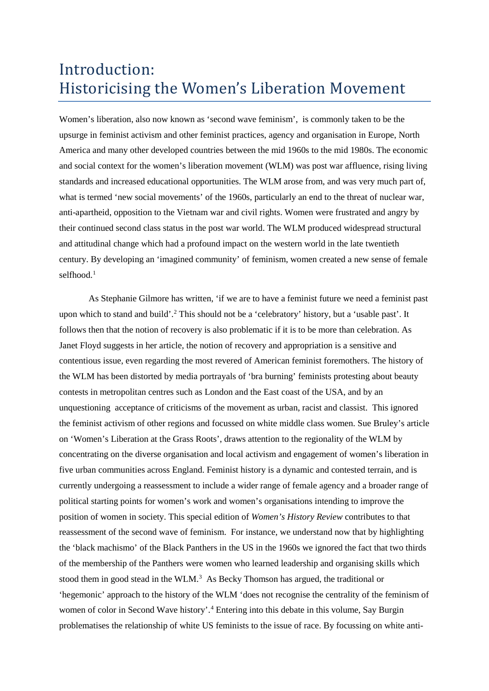## Introduction: Historicising the Women's Liberation Movement

Women's liberation, also now known as 'second wave feminism', is commonly taken to be the upsurge in feminist activism and other feminist practices, agency and organisation in Europe, North America and many other developed countries between the mid 1960s to the mid 1980s. The economic and social context for the women's liberation movement (WLM) was post war affluence, rising living standards and increased educational opportunities. The WLM arose from, and was very much part of, what is termed 'new social movements' of the 1960s, particularly an end to the threat of nuclear war, anti-apartheid, opposition to the Vietnam war and civil rights. Women were frustrated and angry by their continued second class status in the post war world. The WLM produced widespread structural and attitudinal change which had a profound impact on the western world in the late twentieth century. By developing an 'imagined community' of feminism, women created a new sense of female selfhood.<sup>[1](#page-3-0)</sup>

As Stephanie Gilmore has written, 'if we are to have a feminist future we need a feminist past upon which to stand and build'.<sup>[2](#page-3-1)</sup> This should not be a 'celebratory' history, but a 'usable past'. It follows then that the notion of recovery is also problematic if it is to be more than celebration. As Janet Floyd suggests in her article, the notion of recovery and appropriation is a sensitive and contentious issue, even regarding the most revered of American feminist foremothers. The history of the WLM has been distorted by media portrayals of 'bra burning' feminists protesting about beauty contests in metropolitan centres such as London and the East coast of the USA, and by an unquestioning acceptance of criticisms of the movement as urban, racist and classist. This ignored the feminist activism of other regions and focussed on white middle class women. Sue Bruley's article on 'Women's Liberation at the Grass Roots', draws attention to the regionality of the WLM by concentrating on the diverse organisation and local activism and engagement of women's liberation in five urban communities across England. Feminist history is a dynamic and contested terrain, and is currently undergoing a reassessment to include a wider range of female agency and a broader range of political starting points for women's work and women's organisations intending to improve the position of women in society. This special edition of *Women's History Review* contributes to that reassessment of the second wave of feminism. For instance, we understand now that by highlighting the 'black machismo' of the Black Panthers in the US in the 1960s we ignored the fact that two thirds of the membership of the Panthers were women who learned leadership and organising skills which stood them in good stead in the WLM.<sup>3</sup> As Becky Thomson has argued, the traditional or 'hegemonic' approach to the history of the WLM 'does not recognise the centrality of the feminism of women of color in Second Wave history'.<sup>[4](#page-3-3)</sup> Entering into this debate in this volume, Say Burgin problematises the relationship of white US feminists to the issue of race. By focussing on white anti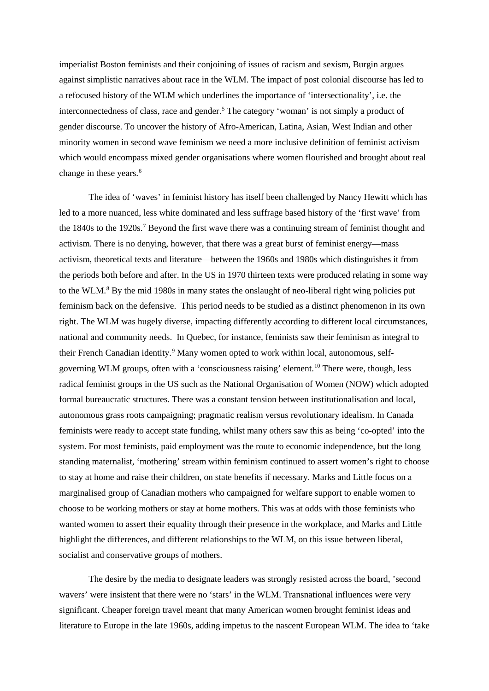imperialist Boston feminists and their conjoining of issues of racism and sexism, Burgin argues against simplistic narratives about race in the WLM. The impact of post colonial discourse has led to a refocused history of the WLM which underlines the importance of 'intersectionality', i.e. the interconnectedness of class, race and gender.<sup>[5](#page-3-4)</sup> The category 'woman' is not simply a product of gender discourse. To uncover the history of Afro-American, Latina, Asian, West Indian and other minority women in second wave feminism we need a more inclusive definition of feminist activism which would encompass mixed gender organisations where women flourished and brought about real change in these years.<sup>[6](#page-3-5)</sup>

The idea of 'waves' in feminist history has itself been challenged by Nancy Hewitt which has led to a more nuanced, less white dominated and less suffrage based history of the 'first wave' from the 1840s to the 1920s. [7](#page-3-6) Beyond the first wave there was a continuing stream of feminist thought and activism. There is no denying, however, that there was a great burst of feminist energy—mass activism, theoretical texts and literature—between the 1960s and 1980s which distinguishes it from the periods both before and after. In the US in 1970 thirteen texts were produced relating in some way to the WLM.<sup>[8](#page-3-7)</sup> By the mid 1980s in many states the onslaught of neo-liberal right wing policies put feminism back on the defensive. This period needs to be studied as a distinct phenomenon in its own right. The WLM was hugely diverse, impacting differently according to different local circumstances, national and community needs. In Quebec, for instance, feminists saw their feminism as integral to their French Canadian identity.<sup>[9](#page-3-8)</sup> Many women opted to work within local, autonomous, self-governing WLM groups, often with a 'consciousness raising' element.<sup>[10](#page-3-9)</sup> There were, though, less radical feminist groups in the US such as the National Organisation of Women (NOW) which adopted formal bureaucratic structures. There was a constant tension between institutionalisation and local, autonomous grass roots campaigning; pragmatic realism versus revolutionary idealism. In Canada feminists were ready to accept state funding, whilst many others saw this as being 'co-opted' into the system. For most feminists, paid employment was the route to economic independence, but the long standing maternalist, 'mothering' stream within feminism continued to assert women's right to choose to stay at home and raise their children, on state benefits if necessary. Marks and Little focus on a marginalised group of Canadian mothers who campaigned for welfare support to enable women to choose to be working mothers or stay at home mothers. This was at odds with those feminists who wanted women to assert their equality through their presence in the workplace, and Marks and Little highlight the differences, and different relationships to the WLM, on this issue between liberal, socialist and conservative groups of mothers.

The desire by the media to designate leaders was strongly resisted across the board, 'second wavers' were insistent that there were no 'stars' in the WLM. Transnational influences were very significant. Cheaper foreign travel meant that many American women brought feminist ideas and literature to Europe in the late 1960s, adding impetus to the nascent European WLM. The idea to 'take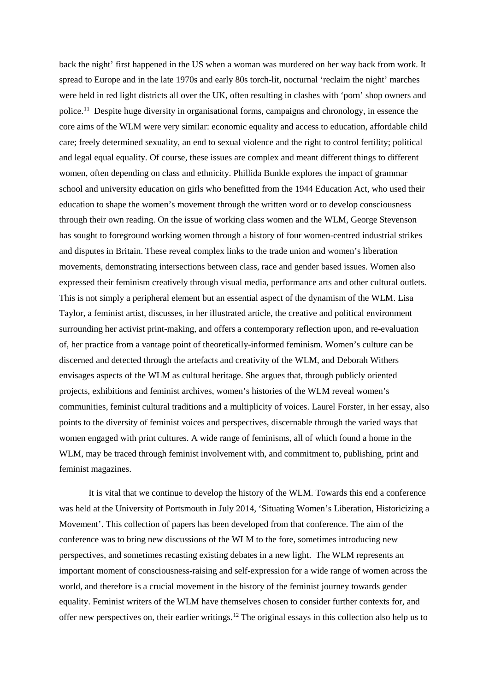back the night' first happened in the US when a woman was murdered on her way back from work. It spread to Europe and in the late 1970s and early 80s torch-lit, nocturnal 'reclaim the night' marches were held in red light districts all over the UK, often resulting in clashes with 'porn' shop owners and police.[11](#page-3-10) Despite huge diversity in organisational forms, campaigns and chronology, in essence the core aims of the WLM were very similar: economic equality and access to education, affordable child care; freely determined sexuality, an end to sexual violence and the right to control fertility; political and legal equal equality. Of course, these issues are complex and meant different things to different women, often depending on class and ethnicity. Phillida Bunkle explores the impact of grammar school and university education on girls who benefitted from the 1944 Education Act, who used their education to shape the women's movement through the written word or to develop consciousness through their own reading. On the issue of working class women and the WLM, George Stevenson has sought to foreground working women through a history of four women-centred industrial strikes and disputes in Britain. These reveal complex links to the trade union and women's liberation movements, demonstrating intersections between class, race and gender based issues. Women also expressed their feminism creatively through visual media, performance arts and other cultural outlets. This is not simply a peripheral element but an essential aspect of the dynamism of the WLM. Lisa Taylor, a feminist artist, discusses, in her illustrated article, the creative and political environment surrounding her activist print-making, and offers a contemporary reflection upon, and re-evaluation of, her practice from a vantage point of theoretically-informed feminism. Women's culture can be discerned and detected through the artefacts and creativity of the WLM, and Deborah Withers envisages aspects of the WLM as cultural heritage. She argues that, through publicly oriented projects, exhibitions and feminist archives, women's histories of the WLM reveal women's communities, feminist cultural traditions and a multiplicity of voices. Laurel Forster, in her essay, also points to the diversity of feminist voices and perspectives, discernable through the varied ways that women engaged with print cultures. A wide range of feminisms, all of which found a home in the WLM, may be traced through feminist involvement with, and commitment to, publishing, print and feminist magazines.

It is vital that we continue to develop the history of the WLM. Towards this end a conference was held at the University of Portsmouth in July 2014, 'Situating Women's Liberation, Historicizing a Movement'. This collection of papers has been developed from that conference. The aim of the conference was to bring new discussions of the WLM to the fore, sometimes introducing new perspectives, and sometimes recasting existing debates in a new light. The WLM represents an important moment of consciousness-raising and self-expression for a wide range of women across the world, and therefore is a crucial movement in the history of the feminist journey towards gender equality. Feminist writers of the WLM have themselves chosen to consider further contexts for, and offer new perspectives on, their earlier writings.[12](#page-3-11) The original essays in this collection also help us to